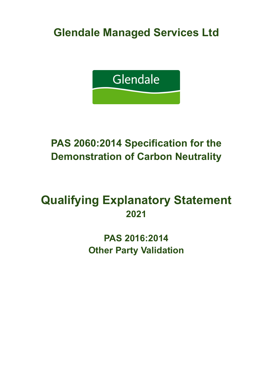**Glendale Managed Services Ltd**



# **PAS 2060:2014 Specification for the Demonstration of Carbon Neutrality**

# **Qualifying Explanatory Statement 2021**

**PAS 2016:2014 Other Party Validation**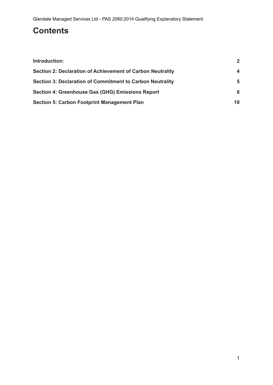## **Contents**

| Introduction:                                              | $\overline{2}$ |
|------------------------------------------------------------|----------------|
| Section 2: Declaration of Achievement of Carbon Neutrality | 4              |
| Section 3: Declaration of Commitment to Carbon Neutrality  | 5              |
| Section 4: Greenhouse Gas (GHG) Emissions Report           | 6              |
| <b>Section 5: Carbon Footprint Management Plan</b>         | 10             |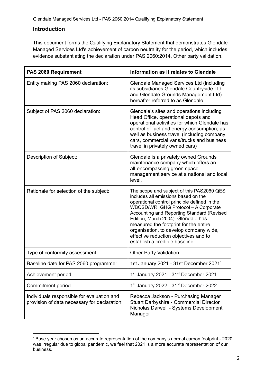Glendale Managed Services Ltd - PAS 2060:2014 Qualifying Explanatory Statement

#### <span id="page-2-0"></span>**Introduction**

This document forms the Qualifying Explanatory Statement that demonstrates Glendale Managed Services Ltd's achievement of carbon neutrality for the period, which includes evidence substantiating the declaration under PAS 2060:2014, Other party validation.

| PAS 2060 Requirement                                                                       | Information as it relates to Glendale                                                                                                                                                                                                                                                                                                                                                                                      |
|--------------------------------------------------------------------------------------------|----------------------------------------------------------------------------------------------------------------------------------------------------------------------------------------------------------------------------------------------------------------------------------------------------------------------------------------------------------------------------------------------------------------------------|
| Entity making PAS 2060 declaration:                                                        | Glendale Managed Services Ltd (including<br>its subsidiaries Glendale Countryside Ltd<br>and Glendale Grounds Management Ltd)<br>hereafter referred to as Glendale.                                                                                                                                                                                                                                                        |
| Subject of PAS 2060 declaration:                                                           | Glendale's sites and operations including<br>Head Office, operational depots and<br>operational activities for which Glendale has<br>control of fuel and energy consumption, as<br>well as business travel (including company<br>cars, commercial vans/trucks and business<br>travel in privately owned cars)                                                                                                              |
| Description of Subject:                                                                    | Glendale is a privately owned Grounds<br>maintenance company which offers an<br>all-encompassing green space<br>management service at a national and local<br>level.                                                                                                                                                                                                                                                       |
| Rationale for selection of the subject:                                                    | The scope and subject of this PAS2060 QES<br>includes all emissions based on the<br>operational control principle defined in the<br>WBCSD/WRI GHG Protocol - A Corporate<br>Accounting and Reporting Standard (Revised<br>Edition, March 2004). Glendale has<br>measured the footprint for the entire<br>organisation, to develop company wide,<br>effective reduction objectives and to<br>establish a credible baseline. |
| Type of conformity assessment                                                              | <b>Other Party Validation</b>                                                                                                                                                                                                                                                                                                                                                                                              |
| Baseline date for PAS 2060 programme:                                                      | 1st January 2021 - 31st December 2021 <sup>1</sup>                                                                                                                                                                                                                                                                                                                                                                         |
| Achievement period                                                                         | 1st January 2021 - 31st December 2021                                                                                                                                                                                                                                                                                                                                                                                      |
| Commitment period                                                                          | 1 <sup>st</sup> January 2022 - 31 <sup>st</sup> December 2022                                                                                                                                                                                                                                                                                                                                                              |
| Individuals responsible for evaluation and<br>provision of data necessary for declaration: | Rebecca Jackson - Purchasing Manager<br>Stuart Darbyshire - Commercial Director<br>Nicholas Darwell - Systems Development<br>Manager                                                                                                                                                                                                                                                                                       |

<sup>1</sup> Base year chosen as an accurate representation of the company's normal carbon footprint - 2020 was irregular due to global pandemic, we feel that 2021 is a more accurate representation of our business.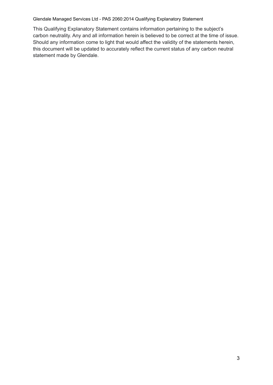#### Glendale Managed Services Ltd - PAS 2060:2014 Qualifying Explanatory Statement

This Qualifying Explanatory Statement contains information pertaining to the subject's carbon neutrality. Any and all information herein is believed to be correct at the time of issue. Should any information come to light that would affect the validity of the statements herein, this document will be updated to accurately reflect the current status of any carbon neutral statement made by Glendale.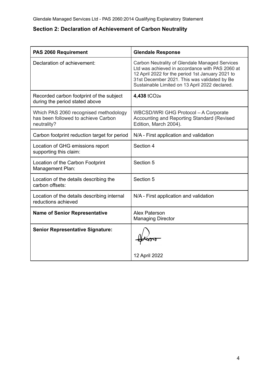## <span id="page-4-0"></span>**Section 2: Declaration of Achievement of Carbon Neutrality**

| PAS 2060 Requirement                                                                        | <b>Glendale Response</b>                                                                                                                                                                                                                                |
|---------------------------------------------------------------------------------------------|---------------------------------------------------------------------------------------------------------------------------------------------------------------------------------------------------------------------------------------------------------|
| Declaration of achievement:                                                                 | Carbon Neutrality of Glendale Managed Services<br>Ltd was achieved in accordance with PAS 2060 at<br>12 April 2022 for the period 1st January 2021 to<br>31st December 2021. This was validated by Be<br>Sustainable Limited on 13 April 2022 declared. |
| Recorded carbon footprint of the subject<br>during the period stated above                  | 4,438 tCO <sub>2e</sub>                                                                                                                                                                                                                                 |
| Which PAS 2060 recognised methodology<br>has been followed to achieve Carbon<br>neutrality? | WBCSD/WRI GHG Protocol - A Corporate<br>Accounting and Reporting Standard (Revised<br>Edition, March 2004).                                                                                                                                             |
| Carbon footprint reduction target for period                                                | N/A - First application and validation                                                                                                                                                                                                                  |
| Location of GHG emissions report<br>supporting this claim:                                  | Section 4                                                                                                                                                                                                                                               |
| Location of the Carbon Footprint<br>Management Plan:                                        | Section 5                                                                                                                                                                                                                                               |
| Location of the details describing the<br>carbon offsets:                                   | Section 5                                                                                                                                                                                                                                               |
| Location of the details describing internal<br>reductions achieved                          | N/A - First application and validation                                                                                                                                                                                                                  |
| <b>Name of Senior Representative</b>                                                        | <b>Alex Paterson</b><br><b>Managing Director</b>                                                                                                                                                                                                        |
| <b>Senior Representative Signature:</b>                                                     | 12 April 2022                                                                                                                                                                                                                                           |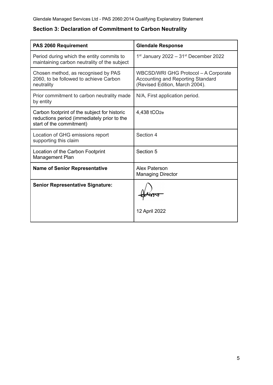| PAS 2060 Requirement                                                                                                    | <b>Glendale Response</b>                                                                                           |
|-------------------------------------------------------------------------------------------------------------------------|--------------------------------------------------------------------------------------------------------------------|
| Period during which the entity commits to<br>maintaining carbon neutrality of the subject                               | $1st$ January 2022 – 31 $st$ December 2022                                                                         |
| Chosen method, as recognised by PAS<br>2060, to be followed to achieve Carbon<br>neutrality                             | <b>WBCSD/WRI GHG Protocol - A Corporate</b><br>Accounting and Reporting Standard<br>(Revised Edition, March 2004). |
| Prior commitment to carbon neutrality made<br>by entity                                                                 | N/A, First application period.                                                                                     |
| Carbon footprint of the subject for historic<br>reductions period (immediately prior to the<br>start of the commitment) | 4,438 tCO <sub>2e</sub>                                                                                            |
| Location of GHG emissions report<br>supporting this claim                                                               | Section 4                                                                                                          |
| Location of the Carbon Footprint<br>Management Plan                                                                     | Section 5                                                                                                          |
| <b>Name of Senior Representative</b>                                                                                    | Alex Paterson<br><b>Managing Director</b>                                                                          |
| <b>Senior Representative Signature:</b>                                                                                 | 12 April 2022                                                                                                      |

### <span id="page-5-0"></span>**Section 3: Declaration of Commitment to Carbon Neutrality**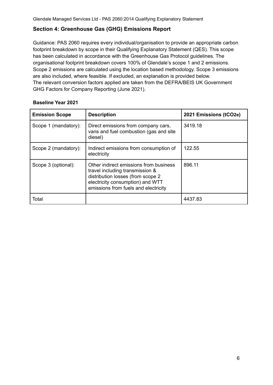#### <span id="page-6-0"></span>**Section 4: Greenhouse Gas (GHG) Emissions Report**

Guidance: PAS 2060 requires every individual/organisation to provide an appropriate carbon footprint breakdown by scope in their Qualifying Explanatory Statement (QES). This scope has been calculated in accordance with the Greenhouse Gas Protocol guidelines. The organisational footprint breakdown covers 100% of Glendale's scope 1 and 2 emissions. Scope 2 emissions are calculated using the location based methodology. Scope 3 emissions are also included, where feasible. If excluded, an explanation is provided below. The relevant conversion factors applied are taken from the DEFRA/BEIS UK Government GHG Factors for Company Reporting (June 2021).

| <b>Emission Scope</b> | <b>Description</b>                                                                                                                                                                         | 2021 Emissions (tCO2e) |
|-----------------------|--------------------------------------------------------------------------------------------------------------------------------------------------------------------------------------------|------------------------|
| Scope 1 (mandatory):  | Direct emissions from company cars,<br>vans and fuel combustion (gas and site<br>diesel)                                                                                                   | 3419.18                |
| Scope 2 (mandatory):  | Indirect emissions from consumption of<br>electricity                                                                                                                                      | 122.55                 |
| Scope 3 (optional):   | Other indirect emissions from business<br>travel including transmission &<br>distribution losses (from scope 2<br>electricity consumption) and WTT<br>emissions from fuels and electricity | 896.11                 |
| Total                 |                                                                                                                                                                                            | 4437.83                |

#### **Baseline Year 2021**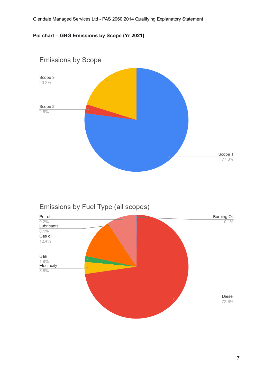#### **Pie chart – GHG Emissions by Scope (Yr 2021)**



## Emissions by Fuel Type (all scopes)

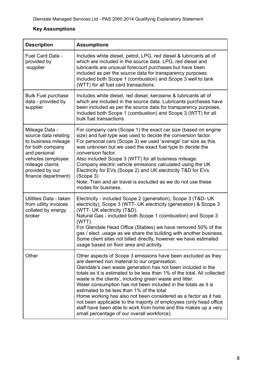### **Key Assumptions**

| <b>Description</b>                                                                                                                                                                  | <b>Assumptions</b>                                                                                                                                                                                                                                                                                                                                                                                                                                                                                                                                                                                                                                                                              |
|-------------------------------------------------------------------------------------------------------------------------------------------------------------------------------------|-------------------------------------------------------------------------------------------------------------------------------------------------------------------------------------------------------------------------------------------------------------------------------------------------------------------------------------------------------------------------------------------------------------------------------------------------------------------------------------------------------------------------------------------------------------------------------------------------------------------------------------------------------------------------------------------------|
| Fuel Card Data -<br>provided by<br>-supplier                                                                                                                                        | Includes white diesel, petrol, LPG, red diesel & lubricants all of<br>which are included in the source data. LPG, red diesel and<br>lubricants are unusual forecourt purchases but have been<br>included as per the source data for transparency purposes.<br>Included both Scope 1 (combustion) and Scope 3 well to tank<br>(WTT) for all fuel card transactions.                                                                                                                                                                                                                                                                                                                              |
| <b>Bulk Fuel purchase</b><br>data - provided by<br>supplier                                                                                                                         | Includes white diesel, red diesel, kerosene & lubricants all of<br>which are included in the source data. Lubricants purchases have<br>been included as per the source data for transparency purposes.<br>Included both Scope 1 (combustion) and Scope 3 (WTT) for all<br>bulk fuel transactions.                                                                                                                                                                                                                                                                                                                                                                                               |
| Mileage Data -<br>source data relating<br>to business mileage<br>for both company<br>and personal<br>vehicles (employee<br>mileage claims<br>provided by our<br>finance department) | For company cars (Scope 1) the exact car size (based on engine<br>size) and fuel type was used to decide the conversion factor.<br>For personal cars (Scope 3) we used 'average' car size as this<br>was unknown but we used the exact fuel type to decide the<br>conversion factor.<br>Also included Scope 3 (WTT) for all business mileage.<br>Company electric vehicle emissions calculated using the UK<br>Electricity for EVs (Scope 2) and UK electricity T&D for EVs<br>(Scope 3)<br>Note: Train and air travel is excluded as we do not use these<br>modes for business.                                                                                                                |
| Utilities Data - taken<br>from utility invoices<br>collated by energy<br>broker                                                                                                     | Electricity - included Scope 2 (generation), Scope 3 (T&D- UK<br>electricity), Scope 3 (WTT- UK electricity (generation) & Scope 3<br>(WTT- UK electricity (T&D).<br>Natural Gas - included both Scope 1 (combustion) and Scope 3<br>$(WTT)$ .<br>For Glendale Head Office (Stables) we have removed 50% of the<br>gas / elect. usage as we share the building with another business.<br>Some client sites not billed directly, however we have estimated<br>usage based on floor area and activity.                                                                                                                                                                                            |
| Other                                                                                                                                                                               | Other aspects of Scope 3 emissions have been excluded as they<br>are deemed non material to our organisation.<br>Glendale's own waste generation has not been included in the<br>totals as it is estimated to be less than 1% of the total. All collected<br>waste is the clients', including green waste and litter.<br>Water consumption has not been included in the totals as it is<br>estimated to be less than 1% of the total<br>Home working has also not been considered as a factor as it has<br>not been applicable to the majority of employees (only head office<br>staff have been able to work from home and this makes up a very<br>small percentage of our overall workforce). |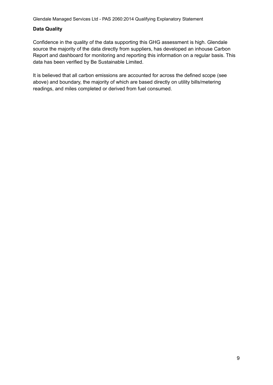#### **Data Quality**

Confidence in the quality of the data supporting this GHG assessment is high. Glendale source the majority of the data directly from suppliers, has developed an inhouse Carbon Report and dashboard for monitoring and reporting this information on a regular basis. This data has been verified by Be Sustainable Limited.

It is believed that all carbon emissions are accounted for across the defined scope (see above) and boundary, the majority of which are based directly on utility bills/metering readings, and miles completed or derived from fuel consumed.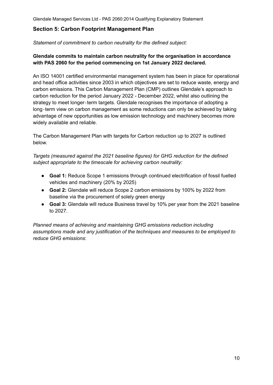#### <span id="page-10-0"></span>**Section 5: Carbon Footprint Management Plan**

*Statement of commitment to carbon neutrality for the defined subject:*

#### **Glendale commits to maintain carbon neutrality for the organisation in accordance with PAS 2060 for the period commencing on 1st January 2022 declared.**

An ISO 14001 certified environmental management system has been in place for operational and head office activities since 2003 in which objectives are set to reduce waste, energy and carbon emissions. This Carbon Management Plan (CMP) outlines Glendale's approach to carbon reduction for the period January 2022 - December 2022, whilst also outlining the strategy to meet longer-term targets. Glendale recognises the importance of adopting a long‐term view on carbon management as some reductions can only be achieved by taking advantage of new opportunities as low emission technology and machinery becomes more widely available and reliable.

The Carbon Management Plan with targets for Carbon reduction up to 2027 is outlined below.

*Targets (measured against the 2021 baseline figures) for GHG reduction for the defined subject appropriate to the timescale for achieving carbon neutrality:*

- **Goal 1:** Reduce Scope 1 emissions through continued electrification of fossil fuelled vehicles and machinery (20% by 2025)
- **Goal 2:** Glendale will reduce Scope 2 carbon emissions by 100% by 2022 from baseline via the procurement of solely green energy
- **Goal 3:** Glendale will reduce Business travel by 10% per year from the 2021 baseline to 2027.

*Planned means of achieving and maintaining GHG emissions reduction including assumptions made and any justification of the techniques and measures to be employed to reduce GHG emissions*: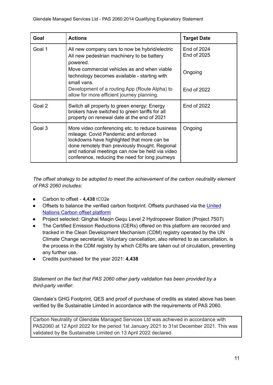| Goal   | <b>Actions</b>                                                                                                                                                                                                                                                                                  | <b>Target Date</b>         |
|--------|-------------------------------------------------------------------------------------------------------------------------------------------------------------------------------------------------------------------------------------------------------------------------------------------------|----------------------------|
| Goal 1 | All new company cars to now be hybrid/electric<br>All new pedestrian machinery to be battery<br>powered.                                                                                                                                                                                        | End of 2024<br>End of 2025 |
|        | Move commercial vehicles as and when viable<br>technology becomes available - starting with<br>small vans.                                                                                                                                                                                      | Ongoing                    |
|        | Development of a routing App (Route Alpha) to<br>allow for more efficient journey planning.                                                                                                                                                                                                     | End of 2022                |
| Goal 2 | Switch all property to green energy: Energy<br>brokers have switched to green tariffs for all<br>property on renewal date at the end of 2021                                                                                                                                                    | <b>End of 2022</b>         |
| Goal 3 | More video conferencing etc. to reduce business<br>mileage: Covid Pandemic and enforced<br>lockdowns have highlighted that more can be<br>done remotely than previously thought. Regional<br>and national meetings can now be held via video<br>conference, reducing the need for long journeys | Ongoing                    |

*The offset strategy to be adopted to meet the achievement of the carbon neutrality element of PAS 2060 includes:*

- Carbon to offset **4,438** tCO2e
- Offsets to balance the verified carbon footprint. Offsets purchased via the [United](https://offset.climateneutralnow.org/UNcertification) Nations Carbon offset [platform](https://offset.climateneutralnow.org/UNcertification)
- Project selected: Qinghai Maqin Gequ Level 2 Hydropower Station (Project 7507)
- The Certified Emission Reductions (CERs) offered on this platform are recorded and tracked in the Clean Development Mechanism (CDM) registry operated by the UN Climate Change secretariat. Voluntary cancellation, also referred to as cancellation, is the process in the CDM registry by which CERs are taken out of circulation, preventing any further use.
- Credits purchased for the year 2021: **4,438**

#### *Statement on the fact that PAS 2060 other party validation has been provided by a third-party verifie*r:

Glendale's GHG Footprint, QES and proof of purchase of credits as stated above has been verified by Be Sustainable Limited in accordance with the requirements of PAS 2060.

Carbon Neutrality of Glendale Managed Services Ltd was achieved in accordance with PAS2060 at 12 April 2022 for the period 1st January 2021 to 31st December 2021. This was validated by Be Sustainable Limited on 13 April 2022 declared.